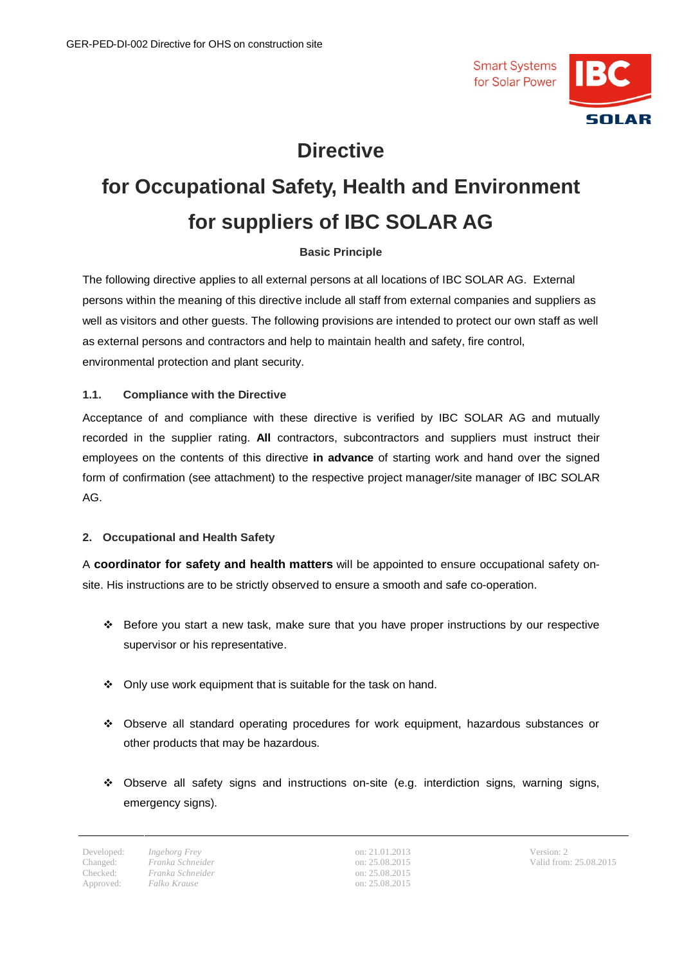

# **Directive**

# **for Occupational Safety, Health and Environment for suppliers of IBC SOLAR AG**

# **Basic Principle**

The following directive applies to all external persons at all locations of IBC SOLAR AG. External persons within the meaning of this directive include all staff from external companies and suppliers as well as visitors and other guests. The following provisions are intended to protect our own staff as well as external persons and contractors and help to maintain health and safety, fire control, environmental protection and plant security.

# **1.1. Compliance with the Directive**

Acceptance of and compliance with these directive is verified by IBC SOLAR AG and mutually recorded in the supplier rating. **All** contractors, subcontractors and suppliers must instruct their employees on the contents of this directive **in advance** of starting work and hand over the signed form of confirmation (see attachment) to the respective project manager/site manager of IBC SOLAR AG.

# **2. Occupational and Health Safety**

A **coordinator for safety and health matters** will be appointed to ensure occupational safety onsite. His instructions are to be strictly observed to ensure a smooth and safe co-operation.

- v Before you start a new task, make sure that you have proper instructions by our respective supervisor or his representative.
- $\div$  Only use work equipment that is suitable for the task on hand.
- v Observe all standard operating procedures for work equipment, hazardous substances or other products that may be hazardous.
- $\div$  Observe all safety signs and instructions on-site (e.g. interdiction signs, warning signs, emergency signs).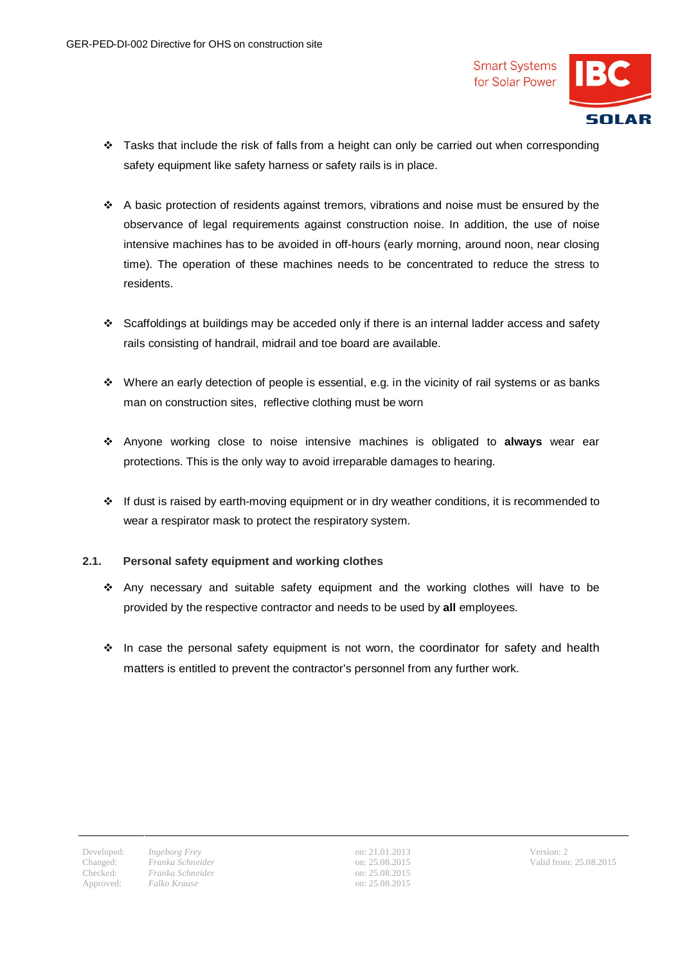

- $\cdot \cdot$  Tasks that include the risk of falls from a height can only be carried out when corresponding safety equipment like safety harness or safety rails is in place.
- $\cdot \cdot$  A basic protection of residents against tremors, vibrations and noise must be ensured by the observance of legal requirements against construction noise. In addition, the use of noise intensive machines has to be avoided in off-hours (early morning, around noon, near closing time). The operation of these machines needs to be concentrated to reduce the stress to residents.
- v Scaffoldings at buildings may be acceded only if there is an internal ladder access and safety rails consisting of handrail, midrail and toe board are available.
- $\cdot \cdot$  Where an early detection of people is essential, e.g. in the vicinity of rail systems or as banks man on construction sites, reflective clothing must be worn
- v Anyone working close to noise intensive machines is obligated to **always** wear ear protections. This is the only way to avoid irreparable damages to hearing.
- \* If dust is raised by earth-moving equipment or in dry weather conditions, it is recommended to wear a respirator mask to protect the respiratory system.

# **2.1. Personal safety equipment and working clothes**

- $\div$  Any necessary and suitable safety equipment and the working clothes will have to be provided by the respective contractor and needs to be used by **all** employees.
- $\cdot \cdot$  In case the personal safety equipment is not worn, the coordinator for safety and health matters is entitled to prevent the contractor's personnel from any further work.

Changed:

Developed: *Ingeborg Frey* on: 21.01.2013 Version: 2 Checked: *Franka Schneider Franka Schneider*  $Falko$  *Krause* 

on: 25.08.2015 on: 25.08.2015<br>on: 25.08.2015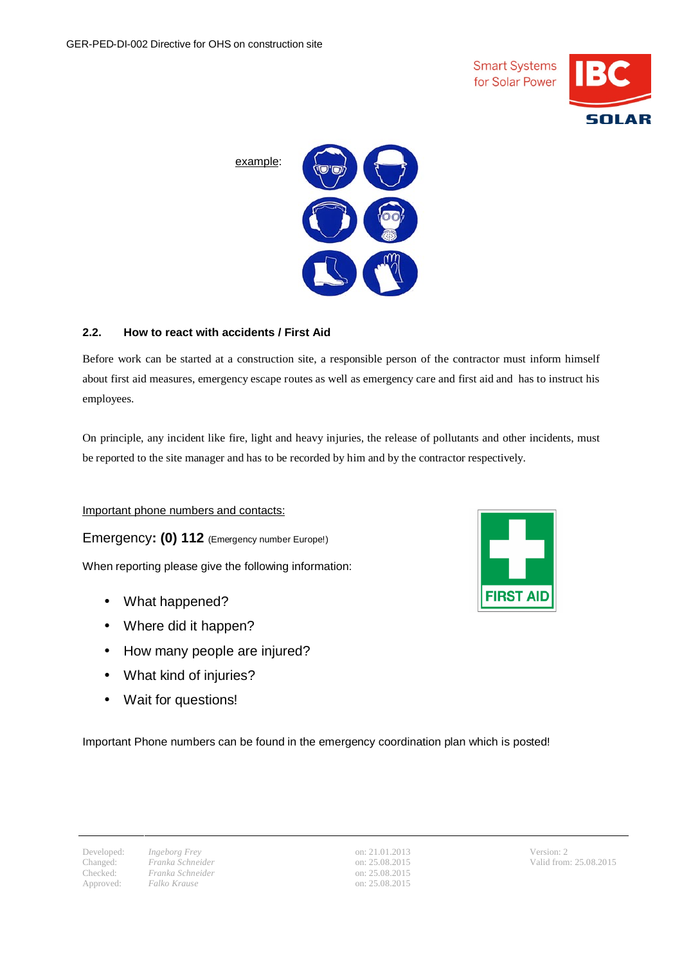



# **2.2. How to react with accidents / First Aid**

Before work can be started at a construction site, a responsible person of the contractor must inform himself about first aid measures, emergency escape routes as well as emergency care and first aid and has to instruct his employees.

On principle, any incident like fire, light and heavy injuries, the release of pollutants and other incidents, must be reported to the site manager and has to be recorded by him and by the contractor respectively.

Important phone numbers and contacts:

Emergency**: (0) 112** (Emergency number Europe!)

When reporting please give the following information:

- What happened?
- Where did it happen?
- How many people are injured?
- What kind of injuries?
- Wait for questions!

Important Phone numbers can be found in the emergency coordination plan which is posted!

Changed:

Checked: *Franka Schneider Franka Schneider* Approved: *Falko Krause* on: 25.08.2015

Developed: *Ingeborg Frey* on: 21.01.2013 Version: 2 on: 25.08.2015 on: 25.08.2015

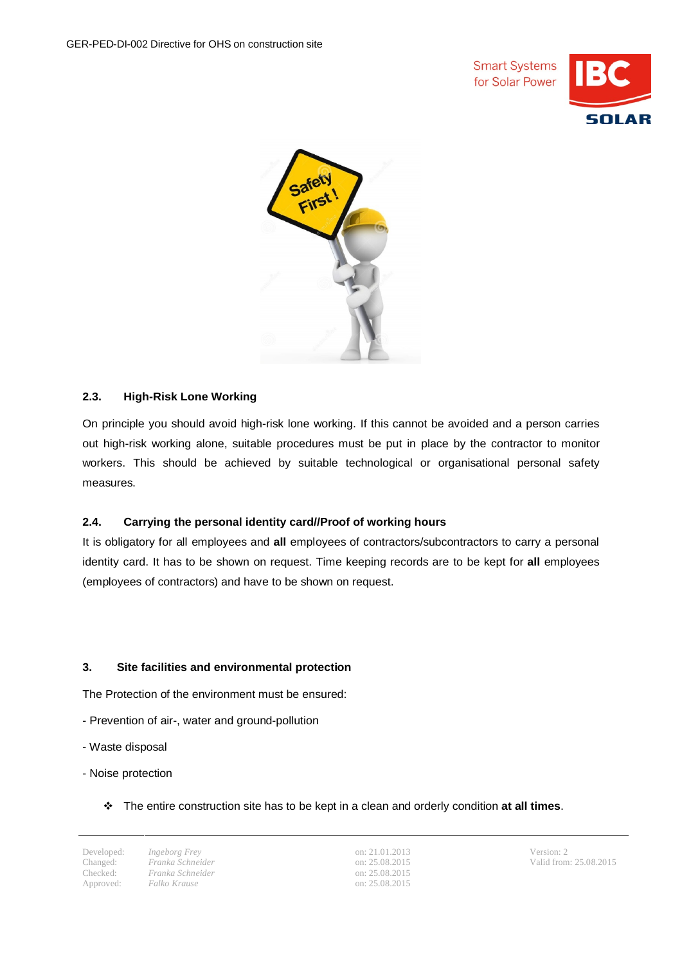



# **2.3. High-Risk Lone Working**

On principle you should avoid high-risk lone working. If this cannot be avoided and a person carries out high-risk working alone, suitable procedures must be put in place by the contractor to monitor workers. This should be achieved by suitable technological or organisational personal safety measures.

# **2.4. Carrying the personal identity card//Proof of working hours**

It is obligatory for all employees and **all** employees of contractors/subcontractors to carry a personal identity card. It has to be shown on request. Time keeping records are to be kept for **all** employees (employees of contractors) and have to be shown on request.

# **3. Site facilities and environmental protection**

The Protection of the environment must be ensured:

- Prevention of air-, water and ground-pollution
- Waste disposal
- Noise protection
	- v The entire construction site has to be kept in a clean and orderly condition **at all times**.

Changed:

Changed: *Franka Schneider*<br>Checked: *Franka Schneider*<br>Approved: *Falko Krause Franka Schneider*

Developed: *Ingeborg Frey* on: 21.01.2013 Version: 2 on: 25.08.2015 on: 25.08.2015 Approved: *Falko Krause* on: 25.08.2015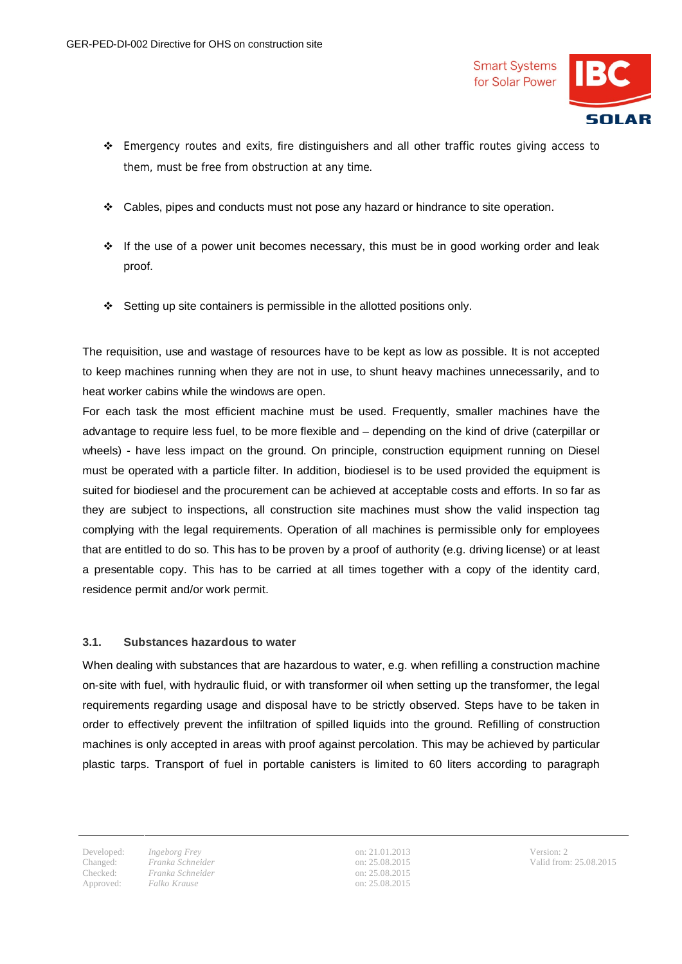

- $\div$  Emergency routes and exits, fire distinguishers and all other traffic routes giving access to them, must be free from obstruction at any time.
- $\div$  Cables, pipes and conducts must not pose any hazard or hindrance to site operation.
- $\div$  If the use of a power unit becomes necessary, this must be in good working order and leak proof.
- v Setting up site containers is permissible in the allotted positions only.

The requisition, use and wastage of resources have to be kept as low as possible. It is not accepted to keep machines running when they are not in use, to shunt heavy machines unnecessarily, and to heat worker cabins while the windows are open.

For each task the most efficient machine must be used. Frequently, smaller machines have the advantage to require less fuel, to be more flexible and – depending on the kind of drive (caterpillar or wheels) - have less impact on the ground. On principle, construction equipment running on Diesel must be operated with a particle filter. In addition, biodiesel is to be used provided the equipment is suited for biodiesel and the procurement can be achieved at acceptable costs and efforts. In so far as they are subject to inspections, all construction site machines must show the valid inspection tag complying with the legal requirements. Operation of all machines is permissible only for employees that are entitled to do so. This has to be proven by a proof of authority (e.g. driving license) or at least a presentable copy. This has to be carried at all times together with a copy of the identity card, residence permit and/or work permit.

#### **3.1. Substances hazardous to water**

When dealing with substances that are hazardous to water, e.g. when refilling a construction machine on-site with fuel, with hydraulic fluid, or with transformer oil when setting up the transformer, the legal requirements regarding usage and disposal have to be strictly observed. Steps have to be taken in order to effectively prevent the infiltration of spilled liquids into the ground. Refilling of construction machines is only accepted in areas with proof against percolation. This may be achieved by particular plastic tarps. Transport of fuel in portable canisters is limited to 60 liters according to paragraph

Changed:

Checked: *Franka Schneider Franka Schneider* Approved: *Falko Krause* on: 25.08.2015

Developed: *Ingeborg Frey* on: 21.01.2013 Version: 2 on: 25.08.2015 on: 25.08.2015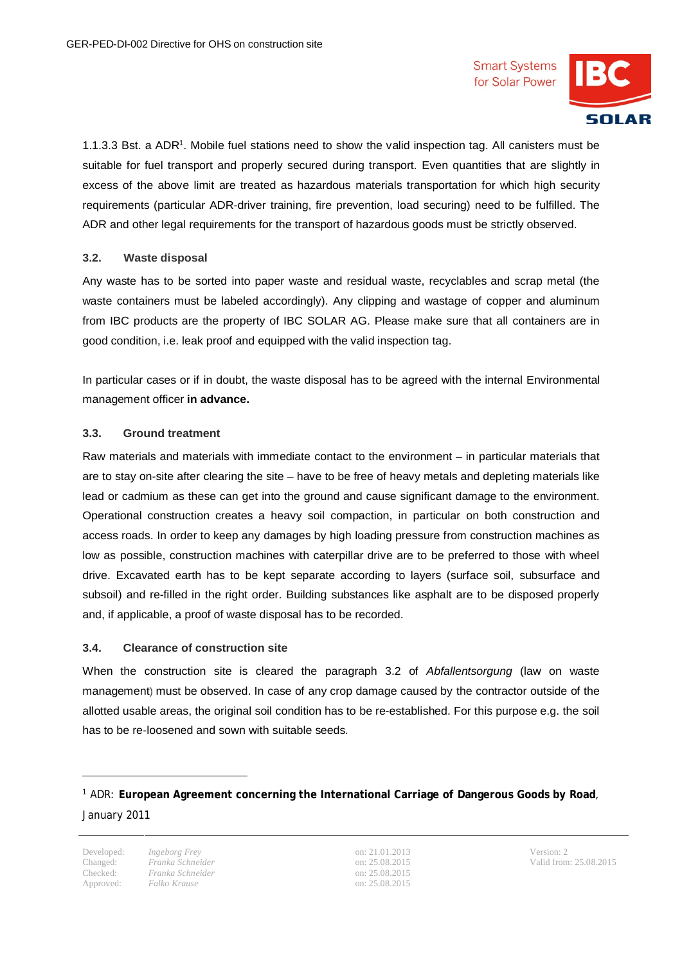

1.1.3.3 Bst. a ADR<sup>1</sup>. Mobile fuel stations need to show the valid inspection tag. All canisters must be suitable for fuel transport and properly secured during transport. Even quantities that are slightly in excess of the above limit are treated as hazardous materials transportation for which high security requirements (particular ADR-driver training, fire prevention, load securing) need to be fulfilled. The ADR and other legal requirements for the transport of hazardous goods must be strictly observed.

#### **3.2. Waste disposal**

Any waste has to be sorted into paper waste and residual waste, recyclables and scrap metal (the waste containers must be labeled accordingly). Any clipping and wastage of copper and aluminum from IBC products are the property of IBC SOLAR AG. Please make sure that all containers are in good condition, i.e. leak proof and equipped with the valid inspection tag.

In particular cases or if in doubt, the waste disposal has to be agreed with the internal Environmental management officer **in advance.**

#### **3.3. Ground treatment**

Raw materials and materials with immediate contact to the environment – in particular materials that are to stay on-site after clearing the site –have to be free of heavy metals and depleting materials like lead or cadmium as these can get into the ground and cause significant damage to the environment. Operational construction creates a heavy soil compaction, in particular on both construction and access roads. In order to keep any damages by high loading pressure from construction machines as low as possible, construction machines with caterpillar drive are to be preferred to those with wheel drive. Excavated earth has to be kept separate according to layers (surface soil, subsurface and subsoil) and re-filled in the right order. Building substances like asphalt are to be disposed properly and, if applicable, a proof of waste disposal has to be recorded.

#### **3.4. Clearance of construction site**

When the construction site is cleared the paragraph 3.2 of *Abfallentsorgung* (law on waste management) must be observed. In case of any crop damage caused by the contractor outside of the allotted usable areas, the original soil condition has to be re-established. For this purpose e.g. the soil has to be re-loosened and sown with suitable seeds.

Changed:

 $\overline{\phantom{0}}$ 

Checked: *Franka Schneider Franka Schneider*

Developed: *Ingeborg Frey* on: 21.01.2013 Version: 2 on: 25.08.2015 on: 25.08.2015 Approved: *Falko Krause* on: 25.08.2015

<sup>1</sup> ADR: **European Agreement concerning the International Carriage of Dangerous Goods by Road**, January 2011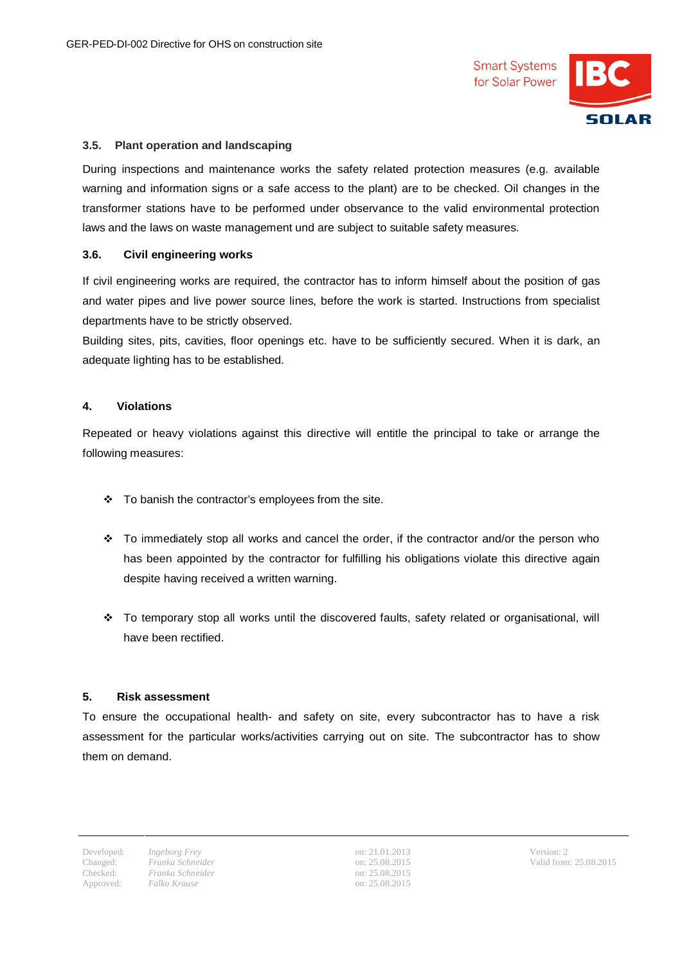

#### **3.5. Plant operation and landscaping**

During inspections and maintenance works the safety related protection measures (e.g. available warning and information signs or a safe access to the plant) are to be checked. Oil changes in the transformer stations have to be performed under observance to the valid environmental protection laws and the laws on waste management und are subject to suitable safety measures.

#### **3.6. Civil engineering works**

If civil engineering works are required, the contractor has to inform himself about the position of gas and water pipes and live power source lines, before the work is started. Instructions from specialist departments have to be strictly observed.

Building sites, pits, cavities, floor openings etc. have to be sufficiently secured. When it is dark, an adequate lighting has to be established.

#### **4. Violations**

Repeated or heavy violations against this directive will entitle the principal to take or arrange the following measures:

- $\div$  To banish the contractor's employees from the site.
- $\div$  To immediately stop all works and cancel the order, if the contractor and/or the person who has been appointed by the contractor for fulfilling his obligations violate this directive again despite having received a written warning.
- \* To temporary stop all works until the discovered faults, safety related or organisational, will have been rectified.

#### **5. Risk assessment**

To ensure the occupational health- and safety on site, every subcontractor has to have a risk assessment for the particular works/activities carrying out on site. The subcontractor has to show them on demand.

Developed: *Ingeborg Frey* on: 21.01.2013 Version: 2 on: 25.08.2015 on: 25.08.2015<br>on: 25.08.2015